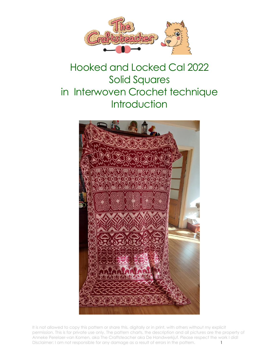

# Hooked and Locked Cal 2022 Solid Squares in Interwoven Crochet technique **Introduction**



It is not allowed to copy this pattern or share this, digitally or in print, with others without my explicit permission. This is for private use only. The pattern charts, the description and all pictures are the property of Anneke Perelaer-van Komen, aka The Craftsteacher aka De Handwerkjuf. Please respect the work I did! Disclaimer: I am not responsible for any damage as a result of errors in the pattern.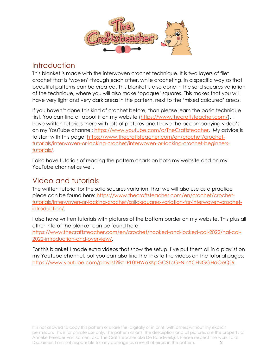

### **Introduction**

This blanket is made with the interwoven crochet technique. It is two layers of filet crochet that is 'woven' through each other, while crocheting, in a specific way so that beautiful patterns can be created. This blanket is also done in the solid squares variation of the technique, where you will also make 'opaque' squares. This makes that you will have very light and very dark areas in the pattern, next to the 'mixed coloured' areas.

If you haven't done this kind of crochet before, than please learn the basic technique first. You can find all about it on my website [\(https://www.thecraftsteacher.com/\)](https://www.thecraftsteacher.com/). I have written tutorials there with lots of pictures and I have the accompanying video's on my YouTube channel: [https://www.youtube.com/c/TheCraftsteacher.](https://www.youtube.com/c/TheCraftsteacher) My advice is to start with this page: [https://www.thecraftsteacher.com/en/crochet/crochet](https://www.thecraftsteacher.com/en/crochet/crochet-tutorials/interwoven-or-locking-crochet/interwoven-or-locking-crochet-beginners-tutorials/)[tutorials/interwoven-or-locking-crochet/interwoven-or-locking-crochet-beginners](https://www.thecraftsteacher.com/en/crochet/crochet-tutorials/interwoven-or-locking-crochet/interwoven-or-locking-crochet-beginners-tutorials/)[tutorials/.](https://www.thecraftsteacher.com/en/crochet/crochet-tutorials/interwoven-or-locking-crochet/interwoven-or-locking-crochet-beginners-tutorials/)

I also have tutorials of reading the pattern charts on both my website and on my YouTube channel as well.

### Video and tutorials

The written tutorial for the solid squares variation, that we will also use as a practice piece can be found here: [https://www.thecraftsteacher.com/en/crochet/crochet](https://www.thecraftsteacher.com/en/crochet/crochet-tutorials/interwoven-or-locking-crochet/solid-squares-variation-for-interwoven-crochet-introduction/)[tutorials/interwoven-or-locking-crochet/solid-squares-variation-for-interwoven-crochet](https://www.thecraftsteacher.com/en/crochet/crochet-tutorials/interwoven-or-locking-crochet/solid-squares-variation-for-interwoven-crochet-introduction/)[introduction/.](https://www.thecraftsteacher.com/en/crochet/crochet-tutorials/interwoven-or-locking-crochet/solid-squares-variation-for-interwoven-crochet-introduction/)

I also have written tutorials with pictures of the bottom border on my website. This plus all other info of the blanket can be found here:

[https://www.thecraftsteacher.com/en/crochet/hooked-and-locked-cal-2022/hal-cal-](https://www.thecraftsteacher.com/en/crochet/hooked-and-locked-cal-2022/hal-cal-2022-introduction-and-overview/)[2022-introduction-and-overview/.](https://www.thecraftsteacher.com/en/crochet/hooked-and-locked-cal-2022/hal-cal-2022-introduction-and-overview/)

For this blanket I made extra videos that show the setup. I've put them all in a playlist on my YouTube channel, but you can also find the links to the videos on the tutorial pages: [https://www.youtube.com/playlist?list=PL0tHWoXKpGCSTcGFNInYCFNGGHaOeQlj6.](https://www.youtube.com/playlist?list=PL0tHWoXKpGCSTcGFNInYCFNGGHaOeQlj6)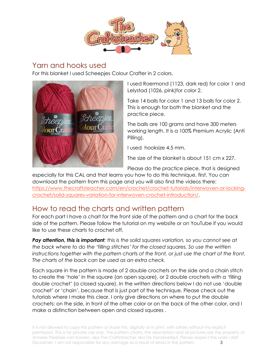

### Yarn and hooks used

For this blanket I used Scheepjes Colour Crafter in 2 colors.



I used Roermond (1123, dark red) for color 1 and Lelystad (1026, pink)for color 2.

Take 14 balls for color 1 and 13 balls for color 2. This is enough for both the blanket and the practice piece.

The balls are 100 grams and have 300 meters working length. It is a 100% Premium Acrylic (Anti Pilling).

I used hooksize 4.5 mm.

The size of the blanket is about 151 cm x 227.

Please do the practice piece, that is designed

especially for this CAL and that learns you how to do this technique, first. You can download the pattern from this page and you will also find the videos there: [https://www.thecraftsteacher.com/en/crochet/crochet-tutorials/interwoven-or-locking](https://www.thecraftsteacher.com/en/crochet/crochet-tutorials/interwoven-or-locking-crochet/solid-squares-variation-for-interwoven-crochet-introduction/)[crochet/solid-squares-variation-for-interwoven-crochet-introduction/.](https://www.thecraftsteacher.com/en/crochet/crochet-tutorials/interwoven-or-locking-crochet/solid-squares-variation-for-interwoven-crochet-introduction/)

# How to read the charts and written pattern

For each part I have a chart for the front side of the pattern and a chart for the back side of the pattern. Please follow the tutorial on my website or on YouTube if you would like to use these charts to crochet off.

*Pay attention, this is important: this is the solid squares variation, so you cannot see at the back where to do the 'filling stitches' for the closed squares. So use the written instructions together with the pattern charts of the front, or just use the chart of the front. The charts of the back can be used as an extra check.*

Each square in the pattern is made of 2 double crochets on the side and a chain stitch to create the 'hole' in the square (an open square), or 2 double crochets with a 'filling double crochet' (a closed square). In the written directions below I do not use 'double crochet' or 'chain', because that is just part of the technique. Please check out the tutorials where I make this clear. I only give directions on where to put the double crochets: on the side, in front of the other color or on the back of the other color, and I make a distinction between open and closed squares .

It is not allowed to copy this pattern or share this, digitally or in print, with others without my explicit permission. This is for private use only. The pattern charts, the description and all pictures are the property of Anneke Perelaer-van Komen, aka The Craftsteacher aka De Handwerkjuf. Please respect the work I did! Disclaimer: I am not responsible for any damage as a result of errors in the pattern. 3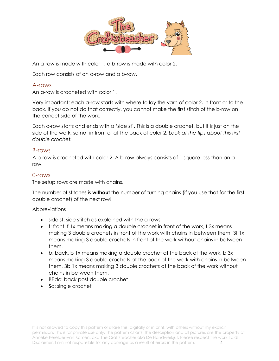

An a-row is made with color 1, a b-row is made with color 2.

Each row consists of an a-row and a b-row.

#### A-rows

An a-row is crocheted with color 1.

Very important: each a-row starts with where to lay the yarn of color 2, in front or to the back. If you do not do that correctly, you cannot make the first stitch of the b-row on the correct side of the work.

Each a-row starts and ends with a 'side st'. This is a double crochet, but it is just on the side of the work, so not in front of at the back of color 2. *Look at the tips about this first double crochet.*

#### B-rows

A b-row is crocheted with color 2. A b-row always consists of 1 square less than an arow.

#### 0-rows

The setup rows are made with chains.

The number of stitches is **without** the number of turning chains (if you use that for the first double crochet) of the next row!

#### **Abbreviations**

- side st: side stitch as explained with the a-rows
- f: front. f 1x means making a double crochet in front of the work, f 3x means making 3 double crochets in front of the work with chains in between them, 3f 1x means making 3 double crochets in front of the work without chains in between them.
- b: back. b 1x means making a double crochet at the back of the work, b 3x means making 3 double crochets at the back of the work with chains in between them, 3b 1x means making 3 double crochets at the back of the work without chains in between them.
- BPdc: back post double crochet
- Sc: single crochet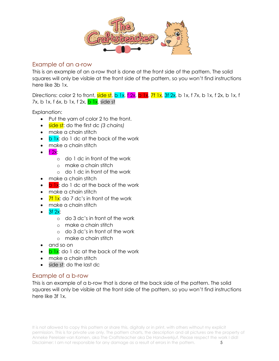

#### Example of an a-row

This is an example of an a-row that is done at the front side of the pattern. The solid squares will only be visible at the front side of the pattern, so you won't find instructions here like 3b 1x.

Directions: color 2 to front, side st, b 1x, f 2x, b 1x, 7f 1x, 3f 2x, b 1x, f 7x, b 1x, f 2x, b 1x, f 7x, b 1x, f 6x, b 1x, f  $2x$ ,  $b$  1x, side st

Explanation:

- Put the yarn of color 2 to the front.
- side st: do the first dc *(3 chains)*
- make a chain stitch
- $\bullet$  b  $\overline{b}$  1x: do 1 dc at the back of the work
- make a chain stitch
- $\bullet$  f 2x:
	- o do 1 dc in front of the work
	- o make a chain stitch
	- o do 1 dc in front of the work
- make a chain stitch
- $\bullet$  b  $\overline{b}$  ix: do 1 dc at the back of the work
- make a chain stitch
- $\frac{7f}{1}$   $\frac{1}{x}$ : do 7 dc's in front of the work
- make a chain stitch
- $\bullet$  3f 2x:
	- o do 3 dc's in front of the work
	- o make a chain stitch
	- o do 3 dc's in front of the work
	- o make a chain stitch
- and so on
- $\cdot$  b 1x: do 1 dc at the back of the work
- make a chain stitch
- side st: do the last dc

#### Example of a b-row

This is an example of a b-row that is done at the back side of the pattern. The solid squares will only be visible at the front side of the pattern, so you won't find instructions here like 3f 1x.